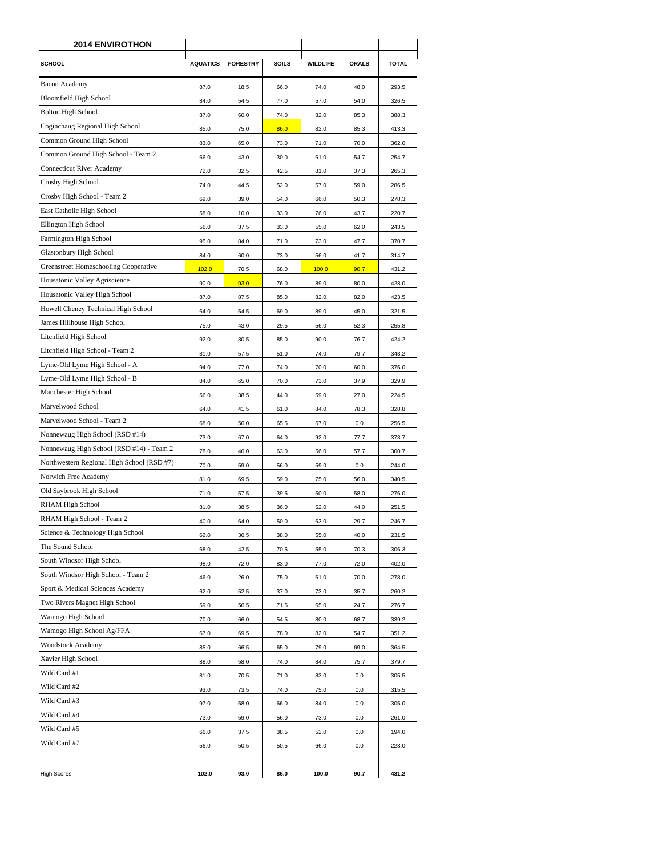| SCHOOL<br><b>AQUATICS</b><br><b>FORESTRY</b><br><b>SOILS</b><br><b>WILDLIFE</b><br><b>ORALS</b><br><b>TOTAL</b><br>Bacon Academy<br>87.0<br>18.5<br>66.0<br>74.0<br>48.0<br>293.5<br>Bloomfield High School<br>84.0<br>54.5<br>77.0<br>57.0<br>54.0<br>326.5<br><b>Bolton High School</b><br>87.0<br>60.0<br>74.0<br>82.0<br>85.3<br>388.3<br>Coginchaug Regional High School<br>85.0<br>86.0<br>82.0<br>85.3<br>75.0<br>413.3<br>Common Ground High School<br>83.0<br>65.0<br>73.0<br>71.0<br>70.0<br>362.0<br>Common Ground High School - Team 2<br>66.0<br>43.0<br>30.0<br>61.0<br>54.7<br>254.7<br>Connecticut River Academy<br>72.0<br>32.5<br>42.5<br>81.0<br>37.3<br>265.3<br>Crosby High School<br>74.0<br>57.0<br>59.0<br>44.5<br>52.0<br>286.5<br>Crosby High School - Team 2<br>69.0<br>39.0<br>54.0<br>66.0<br>50.3<br>278.3<br>East Catholic High School<br>58.0<br>10.0<br>76.0<br>43.7<br>220.7<br>33.0<br>Ellington High School<br>56.0<br>37.5<br>33.0<br>55.0<br>62.0<br>243.5<br>Farmington High School<br>47.7<br>95.0<br>84.0<br>71.0<br>73.0<br>370.7<br>Glastonbury High School<br>84.0<br>41.7<br>60.0<br>73.0<br>56.0<br>314.7<br>Greenstreet Homeschooling Cooperative<br>102.0<br>100.0<br>90.7<br>70.5<br>68.0<br>431.2<br>Housatonic Valley Agriscience<br>90.0<br>93.0<br>89.0<br>80.0<br>428.0<br>76.0<br>Housatonic Valley High School<br>87.0<br>87.5<br>85.0<br>82.0<br>82.0<br>423.5<br>Howell Cheney Technical High School<br>64.0<br>54.5<br>69.0<br>89.0<br>45.0<br>321.5<br>James Hillhouse High School<br>75.0<br>43.0<br>29.5<br>56.0<br>52.3<br>255.8<br>Litchfield High School<br>92.0<br>90.0<br>76.7<br>424.2<br>80.5<br>85.0<br>Litchfield High School - Team 2<br>81.0<br>57.5<br>51.0<br>74.0<br>79.7<br>343.2<br>Lyme-Old Lyme High School - A<br>94.0<br>60.0<br>74.0<br>70.0<br>375.0<br>77.0<br>Lyme-Old Lyme High School - B<br>84.0<br>65.0<br>70.0<br>73.0<br>37.9<br>329.9<br>Manchester High School<br>56.0<br>38.5<br>44.0<br>59.0<br>27.0<br>224.5<br>Marvelwood School<br>64.0<br>84.0<br>78.3<br>328.8<br>41.5<br>61.0<br>Marvelwood School - Team 2<br>68.0<br>67.0<br>56.0<br>65.5<br>0.0<br>256.5<br>Nonnewaug High School (RSD #14)<br>73.0<br>67.0<br>64.0<br>92.0<br>77.7<br>373.7<br>Nonnewaug High School (RSD #14) - Team 2<br>78.0<br>46.0<br>56.0<br>300.7<br>63.0<br>57.7<br>Northwestern Regional High School (RSD #7)<br>70.0<br>59.0<br>56.0<br>59.0<br>0.0<br>244.0<br>Norwich Free Academy<br>75.0<br>56.0<br>340.5<br>81.0<br>69.5<br>59.0<br>Old Saybrook High School<br>71.0<br>39.5<br>50.0<br>58.0<br>276.0<br>57.5<br>RHAM High School<br>81.0<br>38.5<br>36.0<br>52.0<br>44.0<br>251.5<br>RHAM High School - Team 2<br>29.7<br>40.0<br>64.0<br>50.0<br>63.0<br>246.7<br>Science & Technology High School<br>62.0<br>38.0<br>55.0<br>40.0<br>231.5<br>36.5<br>The Sound School<br>68.0<br>42.5<br>70.5<br>55.0<br>70.3<br>306.3<br>South Windsor High School<br>98.0<br>72.0<br>83.0<br>77.0<br>72.0<br>402.0<br>South Windsor High School - Team 2<br>46.0<br>75.0<br>61.0<br>70.0<br>26.0<br>278.0<br>Sport & Medical Sciences Academy<br>37.0<br>35.7<br>62.0<br>52.5<br>73.0<br>260.2<br>Two Rivers Magnet High School<br>59.0<br>65.0<br>24.7<br>276.7<br>56.5<br>71.5<br>Wamogo High School<br>70.0<br>66.0<br>54.5<br>80.0<br>68.7<br>339.2<br>Wamogo High School Ag/FFA<br>67.0<br>69.5<br>78.0<br>82.0<br>54.7<br>351.2<br>Woodstock Academy<br>85.0<br>66.5<br>65.0<br>79.0<br>69.0<br>364.5<br>Xavier High School<br>88.0<br>74.0<br>84.0<br>58.0<br>75.7<br>379.7<br>Wild Card #1<br>0.0<br>81.0<br>70.5<br>71.0<br>83.0<br>305.5<br>Wild Card #2<br>93.0<br>74.0<br>75.0<br>0.0<br>315.5<br>73.5<br>Wild Card #3<br>97.0<br>0.0<br>305.0<br>58.0<br>66.0<br>84.0<br>Wild Card #4<br>0.0<br>73.0<br>59.0<br>56.0<br>73.0<br>261.0<br>Wild Card #5<br>0.0<br>66.0<br>37.5<br>38.5<br>52.0<br>194.0<br>Wild Card #7<br>56.0<br>50.5<br>50.5<br>66.0<br>0.0<br>223.0<br><b>High Scores</b><br>102.0<br>93.0<br>86.0<br>100.0<br>90.7<br>431.2 | <b>2014 ENVIROTHON</b> |  |  |  |
|--------------------------------------------------------------------------------------------------------------------------------------------------------------------------------------------------------------------------------------------------------------------------------------------------------------------------------------------------------------------------------------------------------------------------------------------------------------------------------------------------------------------------------------------------------------------------------------------------------------------------------------------------------------------------------------------------------------------------------------------------------------------------------------------------------------------------------------------------------------------------------------------------------------------------------------------------------------------------------------------------------------------------------------------------------------------------------------------------------------------------------------------------------------------------------------------------------------------------------------------------------------------------------------------------------------------------------------------------------------------------------------------------------------------------------------------------------------------------------------------------------------------------------------------------------------------------------------------------------------------------------------------------------------------------------------------------------------------------------------------------------------------------------------------------------------------------------------------------------------------------------------------------------------------------------------------------------------------------------------------------------------------------------------------------------------------------------------------------------------------------------------------------------------------------------------------------------------------------------------------------------------------------------------------------------------------------------------------------------------------------------------------------------------------------------------------------------------------------------------------------------------------------------------------------------------------------------------------------------------------------------------------------------------------------------------------------------------------------------------------------------------------------------------------------------------------------------------------------------------------------------------------------------------------------------------------------------------------------------------------------------------------------------------------------------------------------------------------------------------------------------------------------------------------------------------------------------------------------------------------------------------------------------------------------------------------------------------------------------------------------------------------------------------------------------------------------------------------------------------------------------------------------------------------------------------------------------------------------------------------------------------------------------------------------------------------------------------------------------------------------------------------------------------------------------------------------------------------------------------------------------------------------------------------------------------------------------------------------------------------------------------------------------------------|------------------------|--|--|--|
|                                                                                                                                                                                                                                                                                                                                                                                                                                                                                                                                                                                                                                                                                                                                                                                                                                                                                                                                                                                                                                                                                                                                                                                                                                                                                                                                                                                                                                                                                                                                                                                                                                                                                                                                                                                                                                                                                                                                                                                                                                                                                                                                                                                                                                                                                                                                                                                                                                                                                                                                                                                                                                                                                                                                                                                                                                                                                                                                                                                                                                                                                                                                                                                                                                                                                                                                                                                                                                                                                                                                                                                                                                                                                                                                                                                                                                                                                                                                                                                                                                            |                        |  |  |  |
|                                                                                                                                                                                                                                                                                                                                                                                                                                                                                                                                                                                                                                                                                                                                                                                                                                                                                                                                                                                                                                                                                                                                                                                                                                                                                                                                                                                                                                                                                                                                                                                                                                                                                                                                                                                                                                                                                                                                                                                                                                                                                                                                                                                                                                                                                                                                                                                                                                                                                                                                                                                                                                                                                                                                                                                                                                                                                                                                                                                                                                                                                                                                                                                                                                                                                                                                                                                                                                                                                                                                                                                                                                                                                                                                                                                                                                                                                                                                                                                                                                            |                        |  |  |  |
|                                                                                                                                                                                                                                                                                                                                                                                                                                                                                                                                                                                                                                                                                                                                                                                                                                                                                                                                                                                                                                                                                                                                                                                                                                                                                                                                                                                                                                                                                                                                                                                                                                                                                                                                                                                                                                                                                                                                                                                                                                                                                                                                                                                                                                                                                                                                                                                                                                                                                                                                                                                                                                                                                                                                                                                                                                                                                                                                                                                                                                                                                                                                                                                                                                                                                                                                                                                                                                                                                                                                                                                                                                                                                                                                                                                                                                                                                                                                                                                                                                            |                        |  |  |  |
|                                                                                                                                                                                                                                                                                                                                                                                                                                                                                                                                                                                                                                                                                                                                                                                                                                                                                                                                                                                                                                                                                                                                                                                                                                                                                                                                                                                                                                                                                                                                                                                                                                                                                                                                                                                                                                                                                                                                                                                                                                                                                                                                                                                                                                                                                                                                                                                                                                                                                                                                                                                                                                                                                                                                                                                                                                                                                                                                                                                                                                                                                                                                                                                                                                                                                                                                                                                                                                                                                                                                                                                                                                                                                                                                                                                                                                                                                                                                                                                                                                            |                        |  |  |  |
|                                                                                                                                                                                                                                                                                                                                                                                                                                                                                                                                                                                                                                                                                                                                                                                                                                                                                                                                                                                                                                                                                                                                                                                                                                                                                                                                                                                                                                                                                                                                                                                                                                                                                                                                                                                                                                                                                                                                                                                                                                                                                                                                                                                                                                                                                                                                                                                                                                                                                                                                                                                                                                                                                                                                                                                                                                                                                                                                                                                                                                                                                                                                                                                                                                                                                                                                                                                                                                                                                                                                                                                                                                                                                                                                                                                                                                                                                                                                                                                                                                            |                        |  |  |  |
|                                                                                                                                                                                                                                                                                                                                                                                                                                                                                                                                                                                                                                                                                                                                                                                                                                                                                                                                                                                                                                                                                                                                                                                                                                                                                                                                                                                                                                                                                                                                                                                                                                                                                                                                                                                                                                                                                                                                                                                                                                                                                                                                                                                                                                                                                                                                                                                                                                                                                                                                                                                                                                                                                                                                                                                                                                                                                                                                                                                                                                                                                                                                                                                                                                                                                                                                                                                                                                                                                                                                                                                                                                                                                                                                                                                                                                                                                                                                                                                                                                            |                        |  |  |  |
|                                                                                                                                                                                                                                                                                                                                                                                                                                                                                                                                                                                                                                                                                                                                                                                                                                                                                                                                                                                                                                                                                                                                                                                                                                                                                                                                                                                                                                                                                                                                                                                                                                                                                                                                                                                                                                                                                                                                                                                                                                                                                                                                                                                                                                                                                                                                                                                                                                                                                                                                                                                                                                                                                                                                                                                                                                                                                                                                                                                                                                                                                                                                                                                                                                                                                                                                                                                                                                                                                                                                                                                                                                                                                                                                                                                                                                                                                                                                                                                                                                            |                        |  |  |  |
|                                                                                                                                                                                                                                                                                                                                                                                                                                                                                                                                                                                                                                                                                                                                                                                                                                                                                                                                                                                                                                                                                                                                                                                                                                                                                                                                                                                                                                                                                                                                                                                                                                                                                                                                                                                                                                                                                                                                                                                                                                                                                                                                                                                                                                                                                                                                                                                                                                                                                                                                                                                                                                                                                                                                                                                                                                                                                                                                                                                                                                                                                                                                                                                                                                                                                                                                                                                                                                                                                                                                                                                                                                                                                                                                                                                                                                                                                                                                                                                                                                            |                        |  |  |  |
|                                                                                                                                                                                                                                                                                                                                                                                                                                                                                                                                                                                                                                                                                                                                                                                                                                                                                                                                                                                                                                                                                                                                                                                                                                                                                                                                                                                                                                                                                                                                                                                                                                                                                                                                                                                                                                                                                                                                                                                                                                                                                                                                                                                                                                                                                                                                                                                                                                                                                                                                                                                                                                                                                                                                                                                                                                                                                                                                                                                                                                                                                                                                                                                                                                                                                                                                                                                                                                                                                                                                                                                                                                                                                                                                                                                                                                                                                                                                                                                                                                            |                        |  |  |  |
|                                                                                                                                                                                                                                                                                                                                                                                                                                                                                                                                                                                                                                                                                                                                                                                                                                                                                                                                                                                                                                                                                                                                                                                                                                                                                                                                                                                                                                                                                                                                                                                                                                                                                                                                                                                                                                                                                                                                                                                                                                                                                                                                                                                                                                                                                                                                                                                                                                                                                                                                                                                                                                                                                                                                                                                                                                                                                                                                                                                                                                                                                                                                                                                                                                                                                                                                                                                                                                                                                                                                                                                                                                                                                                                                                                                                                                                                                                                                                                                                                                            |                        |  |  |  |
|                                                                                                                                                                                                                                                                                                                                                                                                                                                                                                                                                                                                                                                                                                                                                                                                                                                                                                                                                                                                                                                                                                                                                                                                                                                                                                                                                                                                                                                                                                                                                                                                                                                                                                                                                                                                                                                                                                                                                                                                                                                                                                                                                                                                                                                                                                                                                                                                                                                                                                                                                                                                                                                                                                                                                                                                                                                                                                                                                                                                                                                                                                                                                                                                                                                                                                                                                                                                                                                                                                                                                                                                                                                                                                                                                                                                                                                                                                                                                                                                                                            |                        |  |  |  |
|                                                                                                                                                                                                                                                                                                                                                                                                                                                                                                                                                                                                                                                                                                                                                                                                                                                                                                                                                                                                                                                                                                                                                                                                                                                                                                                                                                                                                                                                                                                                                                                                                                                                                                                                                                                                                                                                                                                                                                                                                                                                                                                                                                                                                                                                                                                                                                                                                                                                                                                                                                                                                                                                                                                                                                                                                                                                                                                                                                                                                                                                                                                                                                                                                                                                                                                                                                                                                                                                                                                                                                                                                                                                                                                                                                                                                                                                                                                                                                                                                                            |                        |  |  |  |
|                                                                                                                                                                                                                                                                                                                                                                                                                                                                                                                                                                                                                                                                                                                                                                                                                                                                                                                                                                                                                                                                                                                                                                                                                                                                                                                                                                                                                                                                                                                                                                                                                                                                                                                                                                                                                                                                                                                                                                                                                                                                                                                                                                                                                                                                                                                                                                                                                                                                                                                                                                                                                                                                                                                                                                                                                                                                                                                                                                                                                                                                                                                                                                                                                                                                                                                                                                                                                                                                                                                                                                                                                                                                                                                                                                                                                                                                                                                                                                                                                                            |                        |  |  |  |
|                                                                                                                                                                                                                                                                                                                                                                                                                                                                                                                                                                                                                                                                                                                                                                                                                                                                                                                                                                                                                                                                                                                                                                                                                                                                                                                                                                                                                                                                                                                                                                                                                                                                                                                                                                                                                                                                                                                                                                                                                                                                                                                                                                                                                                                                                                                                                                                                                                                                                                                                                                                                                                                                                                                                                                                                                                                                                                                                                                                                                                                                                                                                                                                                                                                                                                                                                                                                                                                                                                                                                                                                                                                                                                                                                                                                                                                                                                                                                                                                                                            |                        |  |  |  |
|                                                                                                                                                                                                                                                                                                                                                                                                                                                                                                                                                                                                                                                                                                                                                                                                                                                                                                                                                                                                                                                                                                                                                                                                                                                                                                                                                                                                                                                                                                                                                                                                                                                                                                                                                                                                                                                                                                                                                                                                                                                                                                                                                                                                                                                                                                                                                                                                                                                                                                                                                                                                                                                                                                                                                                                                                                                                                                                                                                                                                                                                                                                                                                                                                                                                                                                                                                                                                                                                                                                                                                                                                                                                                                                                                                                                                                                                                                                                                                                                                                            |                        |  |  |  |
|                                                                                                                                                                                                                                                                                                                                                                                                                                                                                                                                                                                                                                                                                                                                                                                                                                                                                                                                                                                                                                                                                                                                                                                                                                                                                                                                                                                                                                                                                                                                                                                                                                                                                                                                                                                                                                                                                                                                                                                                                                                                                                                                                                                                                                                                                                                                                                                                                                                                                                                                                                                                                                                                                                                                                                                                                                                                                                                                                                                                                                                                                                                                                                                                                                                                                                                                                                                                                                                                                                                                                                                                                                                                                                                                                                                                                                                                                                                                                                                                                                            |                        |  |  |  |
|                                                                                                                                                                                                                                                                                                                                                                                                                                                                                                                                                                                                                                                                                                                                                                                                                                                                                                                                                                                                                                                                                                                                                                                                                                                                                                                                                                                                                                                                                                                                                                                                                                                                                                                                                                                                                                                                                                                                                                                                                                                                                                                                                                                                                                                                                                                                                                                                                                                                                                                                                                                                                                                                                                                                                                                                                                                                                                                                                                                                                                                                                                                                                                                                                                                                                                                                                                                                                                                                                                                                                                                                                                                                                                                                                                                                                                                                                                                                                                                                                                            |                        |  |  |  |
|                                                                                                                                                                                                                                                                                                                                                                                                                                                                                                                                                                                                                                                                                                                                                                                                                                                                                                                                                                                                                                                                                                                                                                                                                                                                                                                                                                                                                                                                                                                                                                                                                                                                                                                                                                                                                                                                                                                                                                                                                                                                                                                                                                                                                                                                                                                                                                                                                                                                                                                                                                                                                                                                                                                                                                                                                                                                                                                                                                                                                                                                                                                                                                                                                                                                                                                                                                                                                                                                                                                                                                                                                                                                                                                                                                                                                                                                                                                                                                                                                                            |                        |  |  |  |
|                                                                                                                                                                                                                                                                                                                                                                                                                                                                                                                                                                                                                                                                                                                                                                                                                                                                                                                                                                                                                                                                                                                                                                                                                                                                                                                                                                                                                                                                                                                                                                                                                                                                                                                                                                                                                                                                                                                                                                                                                                                                                                                                                                                                                                                                                                                                                                                                                                                                                                                                                                                                                                                                                                                                                                                                                                                                                                                                                                                                                                                                                                                                                                                                                                                                                                                                                                                                                                                                                                                                                                                                                                                                                                                                                                                                                                                                                                                                                                                                                                            |                        |  |  |  |
|                                                                                                                                                                                                                                                                                                                                                                                                                                                                                                                                                                                                                                                                                                                                                                                                                                                                                                                                                                                                                                                                                                                                                                                                                                                                                                                                                                                                                                                                                                                                                                                                                                                                                                                                                                                                                                                                                                                                                                                                                                                                                                                                                                                                                                                                                                                                                                                                                                                                                                                                                                                                                                                                                                                                                                                                                                                                                                                                                                                                                                                                                                                                                                                                                                                                                                                                                                                                                                                                                                                                                                                                                                                                                                                                                                                                                                                                                                                                                                                                                                            |                        |  |  |  |
|                                                                                                                                                                                                                                                                                                                                                                                                                                                                                                                                                                                                                                                                                                                                                                                                                                                                                                                                                                                                                                                                                                                                                                                                                                                                                                                                                                                                                                                                                                                                                                                                                                                                                                                                                                                                                                                                                                                                                                                                                                                                                                                                                                                                                                                                                                                                                                                                                                                                                                                                                                                                                                                                                                                                                                                                                                                                                                                                                                                                                                                                                                                                                                                                                                                                                                                                                                                                                                                                                                                                                                                                                                                                                                                                                                                                                                                                                                                                                                                                                                            |                        |  |  |  |
|                                                                                                                                                                                                                                                                                                                                                                                                                                                                                                                                                                                                                                                                                                                                                                                                                                                                                                                                                                                                                                                                                                                                                                                                                                                                                                                                                                                                                                                                                                                                                                                                                                                                                                                                                                                                                                                                                                                                                                                                                                                                                                                                                                                                                                                                                                                                                                                                                                                                                                                                                                                                                                                                                                                                                                                                                                                                                                                                                                                                                                                                                                                                                                                                                                                                                                                                                                                                                                                                                                                                                                                                                                                                                                                                                                                                                                                                                                                                                                                                                                            |                        |  |  |  |
|                                                                                                                                                                                                                                                                                                                                                                                                                                                                                                                                                                                                                                                                                                                                                                                                                                                                                                                                                                                                                                                                                                                                                                                                                                                                                                                                                                                                                                                                                                                                                                                                                                                                                                                                                                                                                                                                                                                                                                                                                                                                                                                                                                                                                                                                                                                                                                                                                                                                                                                                                                                                                                                                                                                                                                                                                                                                                                                                                                                                                                                                                                                                                                                                                                                                                                                                                                                                                                                                                                                                                                                                                                                                                                                                                                                                                                                                                                                                                                                                                                            |                        |  |  |  |
|                                                                                                                                                                                                                                                                                                                                                                                                                                                                                                                                                                                                                                                                                                                                                                                                                                                                                                                                                                                                                                                                                                                                                                                                                                                                                                                                                                                                                                                                                                                                                                                                                                                                                                                                                                                                                                                                                                                                                                                                                                                                                                                                                                                                                                                                                                                                                                                                                                                                                                                                                                                                                                                                                                                                                                                                                                                                                                                                                                                                                                                                                                                                                                                                                                                                                                                                                                                                                                                                                                                                                                                                                                                                                                                                                                                                                                                                                                                                                                                                                                            |                        |  |  |  |
|                                                                                                                                                                                                                                                                                                                                                                                                                                                                                                                                                                                                                                                                                                                                                                                                                                                                                                                                                                                                                                                                                                                                                                                                                                                                                                                                                                                                                                                                                                                                                                                                                                                                                                                                                                                                                                                                                                                                                                                                                                                                                                                                                                                                                                                                                                                                                                                                                                                                                                                                                                                                                                                                                                                                                                                                                                                                                                                                                                                                                                                                                                                                                                                                                                                                                                                                                                                                                                                                                                                                                                                                                                                                                                                                                                                                                                                                                                                                                                                                                                            |                        |  |  |  |
|                                                                                                                                                                                                                                                                                                                                                                                                                                                                                                                                                                                                                                                                                                                                                                                                                                                                                                                                                                                                                                                                                                                                                                                                                                                                                                                                                                                                                                                                                                                                                                                                                                                                                                                                                                                                                                                                                                                                                                                                                                                                                                                                                                                                                                                                                                                                                                                                                                                                                                                                                                                                                                                                                                                                                                                                                                                                                                                                                                                                                                                                                                                                                                                                                                                                                                                                                                                                                                                                                                                                                                                                                                                                                                                                                                                                                                                                                                                                                                                                                                            |                        |  |  |  |
|                                                                                                                                                                                                                                                                                                                                                                                                                                                                                                                                                                                                                                                                                                                                                                                                                                                                                                                                                                                                                                                                                                                                                                                                                                                                                                                                                                                                                                                                                                                                                                                                                                                                                                                                                                                                                                                                                                                                                                                                                                                                                                                                                                                                                                                                                                                                                                                                                                                                                                                                                                                                                                                                                                                                                                                                                                                                                                                                                                                                                                                                                                                                                                                                                                                                                                                                                                                                                                                                                                                                                                                                                                                                                                                                                                                                                                                                                                                                                                                                                                            |                        |  |  |  |
|                                                                                                                                                                                                                                                                                                                                                                                                                                                                                                                                                                                                                                                                                                                                                                                                                                                                                                                                                                                                                                                                                                                                                                                                                                                                                                                                                                                                                                                                                                                                                                                                                                                                                                                                                                                                                                                                                                                                                                                                                                                                                                                                                                                                                                                                                                                                                                                                                                                                                                                                                                                                                                                                                                                                                                                                                                                                                                                                                                                                                                                                                                                                                                                                                                                                                                                                                                                                                                                                                                                                                                                                                                                                                                                                                                                                                                                                                                                                                                                                                                            |                        |  |  |  |
|                                                                                                                                                                                                                                                                                                                                                                                                                                                                                                                                                                                                                                                                                                                                                                                                                                                                                                                                                                                                                                                                                                                                                                                                                                                                                                                                                                                                                                                                                                                                                                                                                                                                                                                                                                                                                                                                                                                                                                                                                                                                                                                                                                                                                                                                                                                                                                                                                                                                                                                                                                                                                                                                                                                                                                                                                                                                                                                                                                                                                                                                                                                                                                                                                                                                                                                                                                                                                                                                                                                                                                                                                                                                                                                                                                                                                                                                                                                                                                                                                                            |                        |  |  |  |
|                                                                                                                                                                                                                                                                                                                                                                                                                                                                                                                                                                                                                                                                                                                                                                                                                                                                                                                                                                                                                                                                                                                                                                                                                                                                                                                                                                                                                                                                                                                                                                                                                                                                                                                                                                                                                                                                                                                                                                                                                                                                                                                                                                                                                                                                                                                                                                                                                                                                                                                                                                                                                                                                                                                                                                                                                                                                                                                                                                                                                                                                                                                                                                                                                                                                                                                                                                                                                                                                                                                                                                                                                                                                                                                                                                                                                                                                                                                                                                                                                                            |                        |  |  |  |
|                                                                                                                                                                                                                                                                                                                                                                                                                                                                                                                                                                                                                                                                                                                                                                                                                                                                                                                                                                                                                                                                                                                                                                                                                                                                                                                                                                                                                                                                                                                                                                                                                                                                                                                                                                                                                                                                                                                                                                                                                                                                                                                                                                                                                                                                                                                                                                                                                                                                                                                                                                                                                                                                                                                                                                                                                                                                                                                                                                                                                                                                                                                                                                                                                                                                                                                                                                                                                                                                                                                                                                                                                                                                                                                                                                                                                                                                                                                                                                                                                                            |                        |  |  |  |
|                                                                                                                                                                                                                                                                                                                                                                                                                                                                                                                                                                                                                                                                                                                                                                                                                                                                                                                                                                                                                                                                                                                                                                                                                                                                                                                                                                                                                                                                                                                                                                                                                                                                                                                                                                                                                                                                                                                                                                                                                                                                                                                                                                                                                                                                                                                                                                                                                                                                                                                                                                                                                                                                                                                                                                                                                                                                                                                                                                                                                                                                                                                                                                                                                                                                                                                                                                                                                                                                                                                                                                                                                                                                                                                                                                                                                                                                                                                                                                                                                                            |                        |  |  |  |
|                                                                                                                                                                                                                                                                                                                                                                                                                                                                                                                                                                                                                                                                                                                                                                                                                                                                                                                                                                                                                                                                                                                                                                                                                                                                                                                                                                                                                                                                                                                                                                                                                                                                                                                                                                                                                                                                                                                                                                                                                                                                                                                                                                                                                                                                                                                                                                                                                                                                                                                                                                                                                                                                                                                                                                                                                                                                                                                                                                                                                                                                                                                                                                                                                                                                                                                                                                                                                                                                                                                                                                                                                                                                                                                                                                                                                                                                                                                                                                                                                                            |                        |  |  |  |
|                                                                                                                                                                                                                                                                                                                                                                                                                                                                                                                                                                                                                                                                                                                                                                                                                                                                                                                                                                                                                                                                                                                                                                                                                                                                                                                                                                                                                                                                                                                                                                                                                                                                                                                                                                                                                                                                                                                                                                                                                                                                                                                                                                                                                                                                                                                                                                                                                                                                                                                                                                                                                                                                                                                                                                                                                                                                                                                                                                                                                                                                                                                                                                                                                                                                                                                                                                                                                                                                                                                                                                                                                                                                                                                                                                                                                                                                                                                                                                                                                                            |                        |  |  |  |
|                                                                                                                                                                                                                                                                                                                                                                                                                                                                                                                                                                                                                                                                                                                                                                                                                                                                                                                                                                                                                                                                                                                                                                                                                                                                                                                                                                                                                                                                                                                                                                                                                                                                                                                                                                                                                                                                                                                                                                                                                                                                                                                                                                                                                                                                                                                                                                                                                                                                                                                                                                                                                                                                                                                                                                                                                                                                                                                                                                                                                                                                                                                                                                                                                                                                                                                                                                                                                                                                                                                                                                                                                                                                                                                                                                                                                                                                                                                                                                                                                                            |                        |  |  |  |
|                                                                                                                                                                                                                                                                                                                                                                                                                                                                                                                                                                                                                                                                                                                                                                                                                                                                                                                                                                                                                                                                                                                                                                                                                                                                                                                                                                                                                                                                                                                                                                                                                                                                                                                                                                                                                                                                                                                                                                                                                                                                                                                                                                                                                                                                                                                                                                                                                                                                                                                                                                                                                                                                                                                                                                                                                                                                                                                                                                                                                                                                                                                                                                                                                                                                                                                                                                                                                                                                                                                                                                                                                                                                                                                                                                                                                                                                                                                                                                                                                                            |                        |  |  |  |
|                                                                                                                                                                                                                                                                                                                                                                                                                                                                                                                                                                                                                                                                                                                                                                                                                                                                                                                                                                                                                                                                                                                                                                                                                                                                                                                                                                                                                                                                                                                                                                                                                                                                                                                                                                                                                                                                                                                                                                                                                                                                                                                                                                                                                                                                                                                                                                                                                                                                                                                                                                                                                                                                                                                                                                                                                                                                                                                                                                                                                                                                                                                                                                                                                                                                                                                                                                                                                                                                                                                                                                                                                                                                                                                                                                                                                                                                                                                                                                                                                                            |                        |  |  |  |
|                                                                                                                                                                                                                                                                                                                                                                                                                                                                                                                                                                                                                                                                                                                                                                                                                                                                                                                                                                                                                                                                                                                                                                                                                                                                                                                                                                                                                                                                                                                                                                                                                                                                                                                                                                                                                                                                                                                                                                                                                                                                                                                                                                                                                                                                                                                                                                                                                                                                                                                                                                                                                                                                                                                                                                                                                                                                                                                                                                                                                                                                                                                                                                                                                                                                                                                                                                                                                                                                                                                                                                                                                                                                                                                                                                                                                                                                                                                                                                                                                                            |                        |  |  |  |
|                                                                                                                                                                                                                                                                                                                                                                                                                                                                                                                                                                                                                                                                                                                                                                                                                                                                                                                                                                                                                                                                                                                                                                                                                                                                                                                                                                                                                                                                                                                                                                                                                                                                                                                                                                                                                                                                                                                                                                                                                                                                                                                                                                                                                                                                                                                                                                                                                                                                                                                                                                                                                                                                                                                                                                                                                                                                                                                                                                                                                                                                                                                                                                                                                                                                                                                                                                                                                                                                                                                                                                                                                                                                                                                                                                                                                                                                                                                                                                                                                                            |                        |  |  |  |
|                                                                                                                                                                                                                                                                                                                                                                                                                                                                                                                                                                                                                                                                                                                                                                                                                                                                                                                                                                                                                                                                                                                                                                                                                                                                                                                                                                                                                                                                                                                                                                                                                                                                                                                                                                                                                                                                                                                                                                                                                                                                                                                                                                                                                                                                                                                                                                                                                                                                                                                                                                                                                                                                                                                                                                                                                                                                                                                                                                                                                                                                                                                                                                                                                                                                                                                                                                                                                                                                                                                                                                                                                                                                                                                                                                                                                                                                                                                                                                                                                                            |                        |  |  |  |
|                                                                                                                                                                                                                                                                                                                                                                                                                                                                                                                                                                                                                                                                                                                                                                                                                                                                                                                                                                                                                                                                                                                                                                                                                                                                                                                                                                                                                                                                                                                                                                                                                                                                                                                                                                                                                                                                                                                                                                                                                                                                                                                                                                                                                                                                                                                                                                                                                                                                                                                                                                                                                                                                                                                                                                                                                                                                                                                                                                                                                                                                                                                                                                                                                                                                                                                                                                                                                                                                                                                                                                                                                                                                                                                                                                                                                                                                                                                                                                                                                                            |                        |  |  |  |
|                                                                                                                                                                                                                                                                                                                                                                                                                                                                                                                                                                                                                                                                                                                                                                                                                                                                                                                                                                                                                                                                                                                                                                                                                                                                                                                                                                                                                                                                                                                                                                                                                                                                                                                                                                                                                                                                                                                                                                                                                                                                                                                                                                                                                                                                                                                                                                                                                                                                                                                                                                                                                                                                                                                                                                                                                                                                                                                                                                                                                                                                                                                                                                                                                                                                                                                                                                                                                                                                                                                                                                                                                                                                                                                                                                                                                                                                                                                                                                                                                                            |                        |  |  |  |
|                                                                                                                                                                                                                                                                                                                                                                                                                                                                                                                                                                                                                                                                                                                                                                                                                                                                                                                                                                                                                                                                                                                                                                                                                                                                                                                                                                                                                                                                                                                                                                                                                                                                                                                                                                                                                                                                                                                                                                                                                                                                                                                                                                                                                                                                                                                                                                                                                                                                                                                                                                                                                                                                                                                                                                                                                                                                                                                                                                                                                                                                                                                                                                                                                                                                                                                                                                                                                                                                                                                                                                                                                                                                                                                                                                                                                                                                                                                                                                                                                                            |                        |  |  |  |
|                                                                                                                                                                                                                                                                                                                                                                                                                                                                                                                                                                                                                                                                                                                                                                                                                                                                                                                                                                                                                                                                                                                                                                                                                                                                                                                                                                                                                                                                                                                                                                                                                                                                                                                                                                                                                                                                                                                                                                                                                                                                                                                                                                                                                                                                                                                                                                                                                                                                                                                                                                                                                                                                                                                                                                                                                                                                                                                                                                                                                                                                                                                                                                                                                                                                                                                                                                                                                                                                                                                                                                                                                                                                                                                                                                                                                                                                                                                                                                                                                                            |                        |  |  |  |
|                                                                                                                                                                                                                                                                                                                                                                                                                                                                                                                                                                                                                                                                                                                                                                                                                                                                                                                                                                                                                                                                                                                                                                                                                                                                                                                                                                                                                                                                                                                                                                                                                                                                                                                                                                                                                                                                                                                                                                                                                                                                                                                                                                                                                                                                                                                                                                                                                                                                                                                                                                                                                                                                                                                                                                                                                                                                                                                                                                                                                                                                                                                                                                                                                                                                                                                                                                                                                                                                                                                                                                                                                                                                                                                                                                                                                                                                                                                                                                                                                                            |                        |  |  |  |
|                                                                                                                                                                                                                                                                                                                                                                                                                                                                                                                                                                                                                                                                                                                                                                                                                                                                                                                                                                                                                                                                                                                                                                                                                                                                                                                                                                                                                                                                                                                                                                                                                                                                                                                                                                                                                                                                                                                                                                                                                                                                                                                                                                                                                                                                                                                                                                                                                                                                                                                                                                                                                                                                                                                                                                                                                                                                                                                                                                                                                                                                                                                                                                                                                                                                                                                                                                                                                                                                                                                                                                                                                                                                                                                                                                                                                                                                                                                                                                                                                                            |                        |  |  |  |
|                                                                                                                                                                                                                                                                                                                                                                                                                                                                                                                                                                                                                                                                                                                                                                                                                                                                                                                                                                                                                                                                                                                                                                                                                                                                                                                                                                                                                                                                                                                                                                                                                                                                                                                                                                                                                                                                                                                                                                                                                                                                                                                                                                                                                                                                                                                                                                                                                                                                                                                                                                                                                                                                                                                                                                                                                                                                                                                                                                                                                                                                                                                                                                                                                                                                                                                                                                                                                                                                                                                                                                                                                                                                                                                                                                                                                                                                                                                                                                                                                                            |                        |  |  |  |
|                                                                                                                                                                                                                                                                                                                                                                                                                                                                                                                                                                                                                                                                                                                                                                                                                                                                                                                                                                                                                                                                                                                                                                                                                                                                                                                                                                                                                                                                                                                                                                                                                                                                                                                                                                                                                                                                                                                                                                                                                                                                                                                                                                                                                                                                                                                                                                                                                                                                                                                                                                                                                                                                                                                                                                                                                                                                                                                                                                                                                                                                                                                                                                                                                                                                                                                                                                                                                                                                                                                                                                                                                                                                                                                                                                                                                                                                                                                                                                                                                                            |                        |  |  |  |
|                                                                                                                                                                                                                                                                                                                                                                                                                                                                                                                                                                                                                                                                                                                                                                                                                                                                                                                                                                                                                                                                                                                                                                                                                                                                                                                                                                                                                                                                                                                                                                                                                                                                                                                                                                                                                                                                                                                                                                                                                                                                                                                                                                                                                                                                                                                                                                                                                                                                                                                                                                                                                                                                                                                                                                                                                                                                                                                                                                                                                                                                                                                                                                                                                                                                                                                                                                                                                                                                                                                                                                                                                                                                                                                                                                                                                                                                                                                                                                                                                                            |                        |  |  |  |
|                                                                                                                                                                                                                                                                                                                                                                                                                                                                                                                                                                                                                                                                                                                                                                                                                                                                                                                                                                                                                                                                                                                                                                                                                                                                                                                                                                                                                                                                                                                                                                                                                                                                                                                                                                                                                                                                                                                                                                                                                                                                                                                                                                                                                                                                                                                                                                                                                                                                                                                                                                                                                                                                                                                                                                                                                                                                                                                                                                                                                                                                                                                                                                                                                                                                                                                                                                                                                                                                                                                                                                                                                                                                                                                                                                                                                                                                                                                                                                                                                                            |                        |  |  |  |
|                                                                                                                                                                                                                                                                                                                                                                                                                                                                                                                                                                                                                                                                                                                                                                                                                                                                                                                                                                                                                                                                                                                                                                                                                                                                                                                                                                                                                                                                                                                                                                                                                                                                                                                                                                                                                                                                                                                                                                                                                                                                                                                                                                                                                                                                                                                                                                                                                                                                                                                                                                                                                                                                                                                                                                                                                                                                                                                                                                                                                                                                                                                                                                                                                                                                                                                                                                                                                                                                                                                                                                                                                                                                                                                                                                                                                                                                                                                                                                                                                                            |                        |  |  |  |
|                                                                                                                                                                                                                                                                                                                                                                                                                                                                                                                                                                                                                                                                                                                                                                                                                                                                                                                                                                                                                                                                                                                                                                                                                                                                                                                                                                                                                                                                                                                                                                                                                                                                                                                                                                                                                                                                                                                                                                                                                                                                                                                                                                                                                                                                                                                                                                                                                                                                                                                                                                                                                                                                                                                                                                                                                                                                                                                                                                                                                                                                                                                                                                                                                                                                                                                                                                                                                                                                                                                                                                                                                                                                                                                                                                                                                                                                                                                                                                                                                                            |                        |  |  |  |